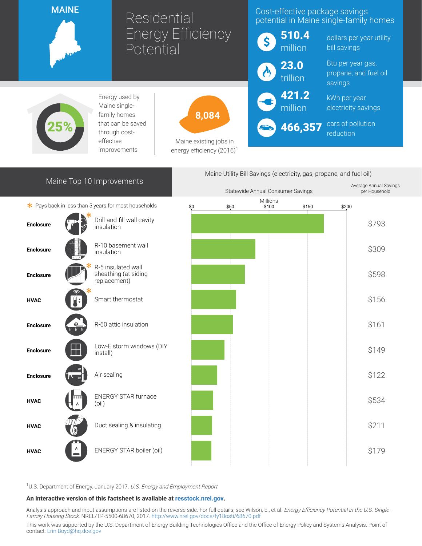

## Residential Energy Efficiency Potential

### Cost-effective package savings potential in Maine single-family homes

421.2 million

466,357

Maine Utility Bill Savings (electricity, gas, propane, and fuel oil)

dollars per year utility bill savings

Btu per year gas, propane, and fuel oil savings

kWh per year electricity savings

cars of pollution reduction



Energy used by Maine singlefamily homes that can be saved through costeffective improvements



Maine existing jobs in energy efficiency  $(2016)^1$ 

# Maine Top 10 Improvements





<sup>1</sup>U.S. Department of Energy. January 2017. U.S. Energy and Employment Report

#### An interactive version of this factsheet is available at [resstock.nrel.gov.](https://resstock.nrel.gov/)

Analysis approach and input assumptions are listed on the reverse side. For full details, see Wilson, E., et al. Energy Efficiency Potential in the U.S. Single-Family Housing Stock. NREL/TP-5500-68670, 2017. <http://www.nrel.gov/docs/fy18osti/68670.pdf>

This work was supported by the U.S. Department of Energy Building Technologies Office and the Office of Energy Policy and Systems Analysis. Point of contact: [Erin.Boyd@hq.doe.gov](mailto:Erin.Boyd@hq.doe.gov)